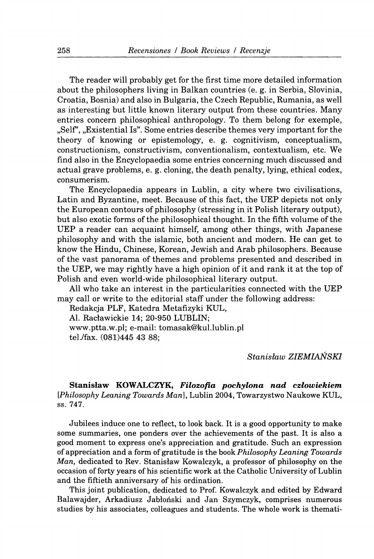**The reader will probably get for the first time more detailed information about the philosophers living in Balkan countries (e. g. in Serbia, Slovinia, Croatia, Bosnia) and also in Bulgaria, the Czech Republic, Rumania, as well as interesting but little known literary output from these countries. Many entries concern philosophical anthropology. To them belong for exemple, "Seif, "Existential Is". Some entries describe themes very important for the theory of knowing or epistemology, e. g. cognitivism, conceptualism, constructionism, constructivism, conventionalism, contextualism, etc. We find also in the Encyclopaedia some entries concerning much discussed and actual grave problems, e. g. cloning, the death penalty, lying, ethical codex, consumerism.** 

**The Encyclopaedia appears in Lublin, a city where two civilisations, Latin and Byzantine, meet. Because of this fact, the UEP depicts not only the European contours of philosophy (stressing in it Polish literary output), but also exotic forms of the philosophical thought. In the fifth volume of the UEP a reader can acquaint himself, among other things, with Japanese philosophy and with the islamic, both ancient and modern. He can get to know the Hindu, Chinese, Korean, Jewish and Arab philosophers. Because of the vast panorama of themes and problems presented and described in the UEP, we may rightly have a high opinion of it and rank it at the top of Polish and even world-wide philosophical literary output.** 

**All who take an interest in the particularities connected with the UEP may call or write to the editorial staff under the following address:** 

**Redakcja PLF, Katedra Metafizyki KUL, Al. Raclawickie 14; 20-950 LUBLIN;** 

**www.ptta.w.pl; e-mail: tomasak@kul.lublin.pl tel./fax. (081)445 43 88;** 

*Stanislaw ZIEMIANSKI* 

Stanislaw KOWALCZYK, *Filozofia pochylona nad czlowiekiem [Philosophy Leaning Towards Man],* **Lublin 2004, Towarzystwo Naukowe KUL, ss. 747.** 

**Jubilees induce one to reflect, to look back. It is a good opportunity to make some summaries, one ponders over the achievements of the past. It is also a good moment to express one's appreciation and gratitude. Such an expression of appreciation and a form of gratitude is the book** *Philosophy Leaning Towards Man,* **dedicated to Rev. Stanislaw Kowalczyk, a professor of philosophy on the occasion of forty years of his scientific work at the Catholic University of Lublin and the fiftieth anniversary of his ordination.** 

**This joint publication, dedicated to Prof Kowalczyk and edited by Edward Balawajder, Arkadiusz Jablonski and Jan Szymczyk, comprises numerous studies by his associates, colleagues and students. The whole work is themati-**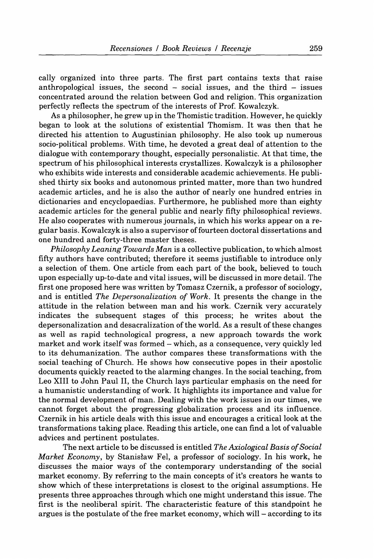**cally organized into three parts. The first part contains texts that raise anthropological issues, the second - social issues, and the third - issues concentrated around the relation between God and religion. This organization perfectly reflects the spectrum of the interests of Prof. Kowalczyk.** 

**As a philosopher, he grew up in the Thomistic tradition. However, he quickly began to look at the solutions of existential Thomism. It was then that he directed his attention to Augustinian philosophy. He also took up numerous socio-political problems. With time, he devoted a great deal of attention to the dialogue with contemporary thought, especially personalistic. At that time, the spectrum of his philosophical interests crystallizes. Kowalczyk is a philosopher who exhibits wide interests and considerable academic achievements. He published thirty six books and autonomous printed matter, more than two hundred academic articles, and he is also the author of nearly one hundred entries in dictionaries and encyclopaedias. Furthermore, he published more than eighty academic articles for the general public and nearly fifty philosophical reviews. He also cooperates with numerous journals, in which his works appear on a regular basis. Kowalczyk is also a supervisor of fourteen doctoral dissertations and one hundred and forty-three master theses.** 

*Philosophy Leaning Towards Man* **is a collective publication, to which almost fifty authors have contributed; therefore it seems justifiable to introduce only a selection of them. One article from each part of the book, believed to touch upon especially up-to-date and vital issues, will be discussed in more detail. The first one proposed here was written by Tomasz Czernik, a professor of sociology, and is entitled** *The Depersonalization of Work.* **It presents the change in the attitude in the relation between man and his work. Czernik very accurately indicates the subsequent stages of this process; he writes about the depersonalization and desacralization of the world. As a result of these changes as well as rapid technological progress, a new approach towards the work**  market and work itself was formed – which, as a consequence, very quickly led **to its dehumanization. The author compares these transformations with the social teaching of Church. He shows how consecutive popes in their apostolic documents quickly reacted to the alarming changes. In the social teaching, from Leo XIII to John Paul II, the Church lays particular emphasis on the need for a humanistic understanding of work. It highlights its importance and value for the normal development of man. Dealing with the work issues in our times, we cannot forget about the progressing globalization process and its influence. Czernik in his article deals with this issue and encourages a critical look at the transformations taking place. Reading this article, one can find a lot of valuable advices and pertinent postulates.** 

**The next article to be discussed is entitled** *The Axiological Basis of Social Market Economy,* **by Stanislaw Fei, a professor of sociology. In his work, he discusses the maior ways of the contemporary understanding of the social market economy. By referring to the main concepts of it's creators he wants to show which of these interpretations is closest to the original assumptions. He presents three approaches through which one might understand this issue. The first is the neoliberal spirit. The characteristic feature of this standpoint he argues is the postulate of the free market economy, which will - according to its**